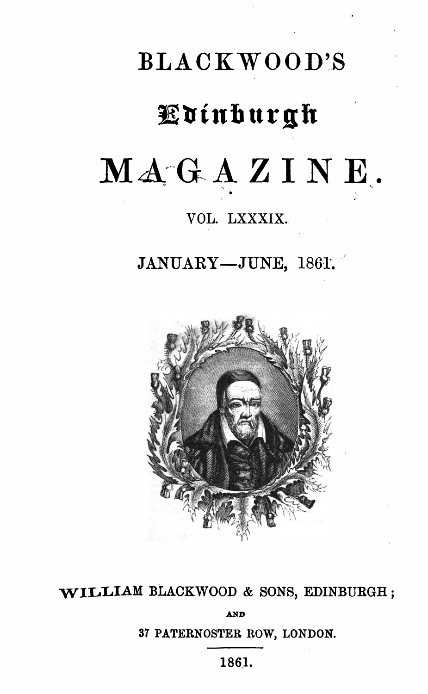# BLACKWOOD'S fininhurgh MAGAZINE.

# VOL. LXXXIX.

 $JANUARY - JUNE$ , 1861.



WILLIAM BLACKWOOD & SONS, EDINBURGH;

AND

<sup>37</sup> PATERNOSTER ROW, LONDON.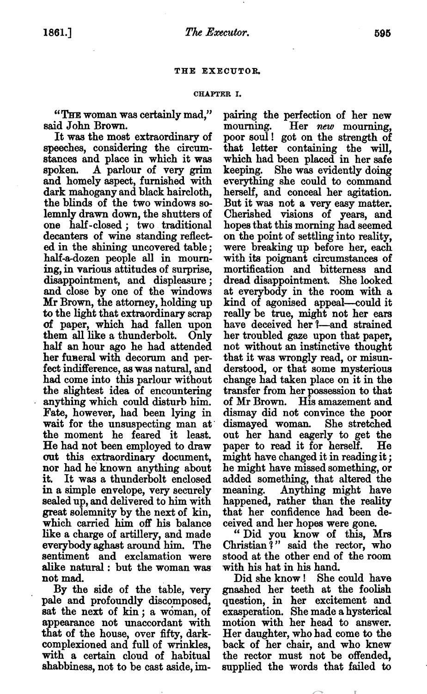## THE EXECUTOR.

#### CHAPTER I.

"THE woman was certainly mad," said John Brown.

It was the most extraordinary of speeches, considering the circum stances and place in which it was spoken. A parlour of very grim and homely aspect, furnished with dark mahogany and black haircloth, the blinds of the two windows so lemnly drawn down, the shutters of one half-closed; two traditional decanters of wine standing reflect ed in the shining uncovered table half-a-dozen people all in mourn ing, in various attitudes of surprise, disappointment, and displeasure; and close by one of the windows Mr Brown, the attorney, holding up to the light that extraordinary scrap of paper, which had fallen upon them all like a thunderbolt. Only half an hour ago he had attended her funeral with decorum and per fect indifference, as was natural, and had come into this parlour without the slightest idea of encountering anything which could disturb him. Fate, however, had been lying in wait for the unsuspecting man at the moment he feared it least. He had not been employed to draw out this extraordinary document, nor had he known anything about it. It was a thunderbolt enclosed in a simple envelope, very securely sealed up, and delivered to him with great solemnity by the next of kin, which carried him off his balance like a charge of artillery, and made everybody aghast around him. The sentiment and exclamation were alike natural : but the woman was not mad.

By the side of the table, very pale and profoundly discomposed, sat the next of kin; a woman, of appearance not unaccordant with that of the house, over fifty, dark complexioned and full of wrinkles, with a certain cloud of habitual shabbiness, not to be cast aside, im

pairing the perfection of her new mourning. Her new mourning, poor soul! got on the strength of that letter containing the will, which had been placed in her safe keeping. She was evidently doing everything she could to command herself, and conceal her agitation. But it was not a very easy matter. Cherished visions of years, and hopes that this morning had seemed on the point of settling into reality, were breaking up before her, each with its poignant circumstances of mortification and bitterness and dread disappointment. She looked at everybody in the room with kind of agonised appeal—could it really be true, might not her ears have deceived her l—and strained her troubled gaze upon that paper, not without an instinctive thought that it was wrongly read, or misun derstood, or that some mysterious change had taken place on it in the transfer from her possession to that of Mr Brown. His amazement and dismay did not convince the poor dismayed woman. She stretched out her hand eagerly to get the paper to read it for herself. He might have changed it in reading it he might have missed something, or added something, that altered the meaning. Anything might have happened, rather than the reality that her confidence had been de ceived and her hopes were gone.

Did you know of this, Mrs Christian?" said the rector, who stood at the other end of the room with his hat in his hand.

Did she know! She could have gnashed her teeth at the foolish question, in her excitement and exasperation. She made a hysterical motion with her head to answer. Her daughter, who had come to the back of her chair, and who knew the rector must not be offended, supplied the words that failed to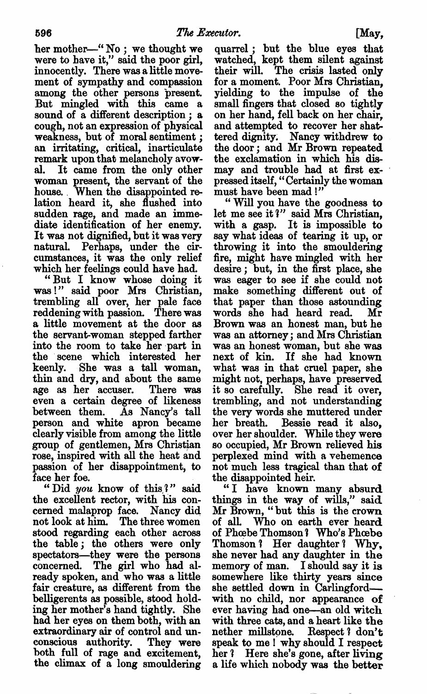her mother-"No : we thought we were to have it," said the poor girl, innocently. There was a little movement of sympathy and compassion among the other persons present. But mingled with this came sound of  $a$  different description :  $a$ cough, not an expression of physical weakness, but of moral sentiment an irritating, critical, inarticulate remark upon that melancholy avow al. It came from the only other woman present, the servant of the house. When the disappointed re lation heard it, she flushed into sudden rage, and made an imme diate identification of her enemy. It was not dignified, but it was very natural. Perhaps, under the cir cumstances, it was the only relief which her feelings could have had.

"But I know whose doing it was 1" said poor Mrs Christian, trembling all over, her pale face reddening with passion. There was a little movement at the door as the servant-woman stepped farther into the room to take her part in the scene which interested her keenly. She was a tall woman, thin and dry, and about the same age as her accuser. There was even a certain degree of likeness between them. As Nancy's tall person and white apron became clearly visible from among the little group of gentlemen, Mrs Christian rose, inspired with all the heat and passion of her disappointment, to face her foe.

"Did you know of this?" said the excellent rector, with his con cerned malaprop face. Nancy did not look at him. The three women stood regarding each other across the table; the others were only spectators—they were the persons<br>concerned. The girl who had already spoken, and who was a little fair creature, as different from the belligerents as possible, stood hold ing her mother's hand tightly. She had her eyes on them both, with an extraordinary air of control and un conscious authority. They were both full of rage and excitement, the climax of a long smouldering

quarrel; but the blue eyes that watched, kept them silent against their will. The crisis lasted only for a moment. Poor Mrs Christian. yielding to the impulse of the small fingers that closed so tightly on her hand, fell back on her chair, and attempted to recover her shat tered dignity. Nancy withdrew to the door; and Mr Brown repeated the exclamation in which his dis may and trouble had at first expressed itself, "Certainly the woman must have been mad !"

Will you have the goodness to let me see it?" said Mrs Christian, with a gasp. It is impossible to say what ideas of tearing it up, or throwing it into the smouldering fire, might have mingled with her desire; but, in the first place, she was eager to see if she could not make something different out of that paper than those astounding words she had heard read. Mr Brown was an honest man, but he was an attorney; and Mrs Christian was an honest woman, but she was next of kin. If she had known what was in that cruel paper, she might not, perhaps, have preserved it so carefully. She read it over, trembling, and not understanding the very words she muttered under her breath. Bessie read it also, over her shoulder. While they were so occupied, Mr Brown relieved his perplexed mind with a vehemence not much less tragical than that of the disappointed heir.

"I have known many absurd things in the way of wills," said Mr Brown, "but this is the crown of all. Who on earth ever heard of Phoebe Thomson? Who's Phoebe Thomson? Her daughter? Why, she never had any daughter in the memory of man. I should say it is somewhere like thirty years since she settled down in Carlingford with no child, nor appearance of ever having had one—an old witch with three cats, and a heart like the nether millstone. Respect? don't speak to me! why should  $I$  respect her? Here she's gone, after living a life which nobody was the better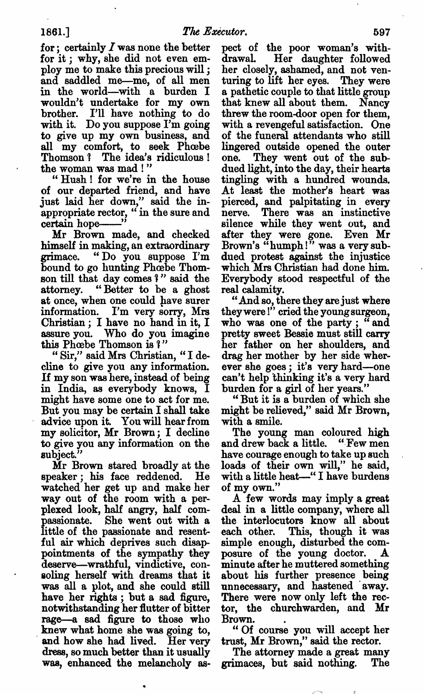for; certainly  $I$  was none the better for it; why, she did not even em ploy me to make this precious will and saddled me--me, of all men in the world—with a burden I wouldn't undertake for my own brother. I'll have nothing to do with it. Do you suppose I'm going to give up my own business, and all my comfort, to seek Phœbe Thomson? The idea's ridiculous! the woman was mad!"

Hush! for we're in the house of our departed friend, and have just laid her down," said the in appropriate rector,  $\cdot i$  in the sure and certain hope— $\cdot$ 

certain hope-"<br>Mr Brown made, and checked himself in making, an extraordinary grimace. "Do you suppose I'm bound to go hunting Phœbe Thomson till that day comes ?" said the attorney. "Better to be a ghost at once, when one could have surer information. I'm very sorry, Mrs Christian ; I have no hand in it, I assure you. Who do you imagine this Phoebe Thomson is ?"

"Sir," said Mrs Christian, "I decline to give you any information. If my son was here, instead of being in India, as everybody knows, might have some one to act for me. But you may be certain I shall take advice upon it. You will hear from my solicitor, Mr Brown; I decline to give you any information on the subject."

Mr Brown stared broadly at the speaker; his face reddened. He watched her get up and make her way out of the room with a perplexed look, half angry, half com passionate. She went out with little of the passionate and resent ful air which deprives such disap pointments of the sympathy they deserve—wrathful, vindictive, con soling herself with dreams that it was all a plot, and she could still have her rights; but a sad figure, notwithstanding her flutter of bitter rage—a sad figure to those who knew what home she was going to, and how she had lived. Her very dress, so much better than it usually was, enhanced the melancholy as

pect of the poor woman's with drawal. Her daughter followed her closely, ashamed, and not ven turing to lift her eyes. They were pathetic couple to that little group that knew all about them. Nancy threw the room-door open for them, with a revengeful satisfaction. One of the funeral attendants who still lingered outside opened the outer one. They went out of the sub dued light, into the day, their hearts tingling with a hundred wounds. At least the mother's heart was pierced, and palpitating in every nerve. There was an instinctive silence while they went out, and after they were gone. Even Mr Brown's "humph!" was a very sub dued protest against the injustice which Mrs Christian had done him. Everybody stood respectful of the real calamity.

And so, there they are just where they were!" cried the young surgeon, who was one of the party; "and pretty sweet Bessie must still carry her father on her shoulders, and drag her mother by her side wher ever she goes; it's very hard—one can't help thinking it's a very hard burden for a girl of her years."

But it is burden of which she might be relieved," said Mr Brown, with a smile.

The young man coloured high and drew back a little. "Few men have courage enough to take up such loads of their own will," he said, with a little heat-" I have burdens of my own."

A few words may imply a great deal in a little company, where all the interlocutors know all about each other. This, though it was simple enough, disturbed the com posure of the young doctor. posure of the young doctor. A<br>minute after he muttered something about his further presence being unnecessary, and hastened 'away. There were now only left the rec tor, the churchwarden, and Mr Brown.

"Of course you will accept her trust, Mr Brown," said the rector.

The attorney made a great many grimaces, but said nothing. The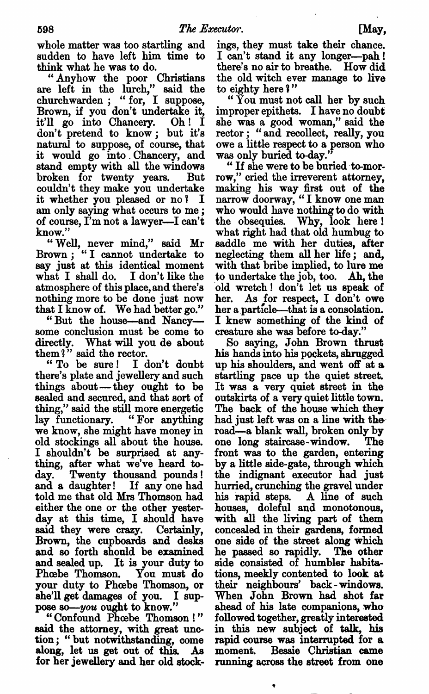whole matter was too startling and sudden to have left him time to think what he was to do.

"Anyhow the poor Christians are left in the lurch," said the  ${\rm churchwarden}$ : "for, I suppose. Brown, if you don't undertake it, it'll go into Chancery. Oh! don't pretend to know; but it's natural to suppose, of course, that it would go into.Chancery, and stand empty with all the windows broken for twenty years. But couldn't they make you undertake it whether you pleased or  $no?$  I am only saying what occurs to me; of course, I'm not a lawyer—I can't know."

"Well, never mind," said Mr Brown; "I cannot undertake to say just at this identical moment what I shall do. I don't like the atmosphere of this place, and there's nothing more to be done just now that I know of. We had better go."

"But the house—and Nancy some conclusion must be come to directly. What will you do about them  $i$ " said the rector.

To be sure! don't doubt there's plate and jewellery and such things about—they ought to be sealed and secured, and that sort of thing," said the still more energetic lay functionary. "For anything we know, she might have money in old stockings all about the house. I shouldn't be surprised at anything, after what we've heard to day. Twenty thousand pounds! and a daughter! If any one had told me that old Mrs Thomson had either the one or the other yester day at this time, I should have said they were crazy. Certainly, Brown, the cupboards and desks and so forth should be examined and sealed up. It is your duty to Phoebe Thomson. You must do your duty to Phoebe Thomson, or she'll get damages of you. I suppose so-you ought to know."

"Confound Phoebe Thomson!" said the attorney, with great unc tion; "but notwithstanding, come along, let us get out of this. As for her jewellery and her old stock ings, they must take their chance. can't stand it any longer—pah! there's no air to breathe. How did the old witch ever manage to live to eighty here?"

You must not call her by such improper epithets. I have no doubt she was a good woman," said the rector; "and recollect, really, you owe a little respect to a person who was only buried to-day."

If she were to be buried to-mor row," cried the irreverent attorney, making his way first out of the narrow doorway. "I know one man who would have nothing to do with the obsequies. Why, look here! what right had that old humbug to saddle me with her duties, after neglecting them all her life; and, with that bribe implied, to lure me \_to undertake the job, too. Ah, the old wretch! don't let us speak of her. As for respect, I don't owe her a particle—that is a consolation. I knew something of the kind of creature she was before to-day."

So saying, John Brown thrust his hands into his pockets, shrugged up his shoulders, and went off at a. startling pace up the quiet street. It was a very quiet street in the outskirts of a very quiet little town. The back of the house which they had just left was on a line with the road—a blank wall, broken only by one long staircase-window. The front was to the garden, entering by a little side-gate, through which the indignant executor had just hurried, crunching the gravel under his rapid steps. A line of such houses, doleful and monotonous, with all the living part of them concealed in their gardens, formed one side of the street along which he passed so rapidly. The other side consisted of humbler habita tions, meekly contented to look at their neighbours' back-windows. When John Brown had shot far ahead of his late companions, who followed together, greatly interested in this new subject of talk, his rapid course was interrupted for a moment. Bessie Christian came running across the street from one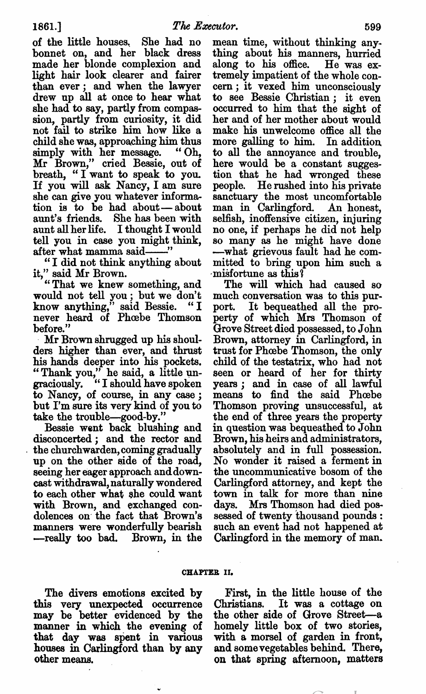of the little houses, She had no bonnet on, and her black dress made her blonde complexion and light hair look clearer and fairer than ever; and when the lawyer drew up all at once to hear what she had to say, partly from compas sion, partly from curiosity, it did not fail to strike him how like child she was, approaching him thus simply with her message. "Oh, Mr Brown," cried Bessie, out of breath, "I want to speak to you. If you will ask Nancy, I am sure she can give you whatever informa tion is to be had about—about aunt's friends. She has been with aunt all her life. I thought I would tell you in case you might think, after what mamma said

"I did not think anything about it," said Mr Brown.

"That we knew something, and would not tell you ; but we don't know anything," said Bessie. "I never heard of Phoebe Thomson before."

Mr Brown shrugged up his shoul ders higher than ever, and thrust his hands deeper into his pockets. "Thank you," he said, a little un graciously. "I should have spoken to Nancy, of course, in any case; but I'm sure its very kind of you to take the trouble—good-by."

Bessie went back blushing and disconcerted; and the rector and the churchwarden, coming gradually up on the other side of the road, seeing her eager approach and downcast withdrawal, naturally wondered to each other what she could want with Brown, and exchanged con dolences on' the fact that Brown's manners were wonderfully bearish --really too bad. Brown, in the

mean time, without thinking any thing about his manners, hurried along to his office. He was extremely impatient of the whole con cern; it vexed him unconsciously to see Bessie Christian; it even occurred to him that the sight of her and of her mother about would make his unwelcome office all the more galling to him. In addition to all the annoyance and trouble, here would be a constant suggestion that he had wronged these people. He rushed into his private sanctuary the most uncomfortable man in Carlingford. An honest, selfish, inoffensive citizen, injuring no one, if perhaps he did not help so many as he might have done -—what grievous fault had he com mitted to bring upon him such misfortune as this?

The will which had caused so much conversation was to this purport. It bequeathed all the pro perty of which Mrs Thomson of Grove Street died possessed, to John Brown, attorney in Carlingford, in trust for Phoebe Thomson, the only child of the testatrix, who had not seen or heard of her for thirty years; and in case of all lawful means to find the said Phoebe Thomson proving unsuccessful, at the end of three years the property in question was bequeathed to John Brown, his heirs and administrators, absolutely and in full possession. No wonder it raised a ferment in the uncommunicative bosom of the Carlingford attorney, and kept the town in talk for more than nine days. Mrs Thomson had died pos< sessed of twenty thousand pounds such an event had not happened at Carlingford in the memory of man.

#### CHAPTER II.

The divers emotions excited by this very unexpected occurrence may be better evidenced by the manner in which the evening of that day was spent in various houses in Carlingford than by any other means.

First, in the little house of the Christians. It was a cottage on the other side of Grove Street—a homely little box of two stories, with a morsel of garden in front, and some vegetables behind. There, on that spring afternoon, matters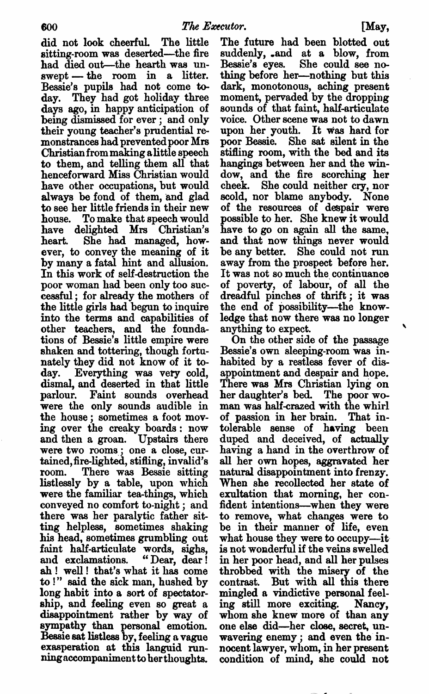did not look cheerful. The little sitting-room was deserted—the fire had died out—the hearth was un  $s$ wept  $-$  the room in a litter. Bessie's pupils had not come to day. They had got holiday three days ago, in happy anticipation of being dismissed for ever; and only their young teacher's prudential re monstrances had prevented poor Mrs Christian from making alittle speech to them, and telling them all that henceforward Miss Christian would have other occupations, but would always be fond of them, and glad to see her little friends in their new house. To make that speech would have delighted Mrs Christian's heart. She had managed, how ever, to convey the meaning of it by many fatal hint and allusion. In this work of self-destruction the poor woman had been only too suc cessful; for already the mothers of the little girls had begun to inquire into the terms and capabilities of other teachers, and the founda tions of Bessie's little empire were shaken and tottering, though fortu nately they did not know of it to day. Everything was very cold, dismal, and deserted in that little parlour. Faint sounds overhead were the only sounds audible in the house; sometimes a foot moving over the creaky boards: now and then a groan. Upstairs there were two rooms; one a close, curtained,fire-lighted, stifling, invalid's room. There was Bessie sitting listlessly by a table, upon which were the familiar tea-things, which conveyed no comfort to-night; and there was her paralytic father sit ting helpless, sometimes shaking his head, sometimes grumbling out faint half-articulate words, sighs, and exclamations. "Dear, dear! ah! well! that's what it has come to !" said the sick man, hushed by long habit into a sort of spectatorship, and feeling even so great a disappointment rather by way of sympathy than personal emotion. Bessie sat listless by, feeling a vague erasperation at this languid run ning accompaniment to her thoughts.

The future had been blotted out suddenly, and at a blow, from Bessie's eyes. She could see no thing before her—nothing but this dark, monotonous, aching present moment, pervaded by the dropping sounds of that faint, half-articulate voice. Other scene was not to dawn upon her youth. It was hard for poor Bessie. She sat silent in the stifling room, with the bed and its hangings between her and the win dow, and the fire scorching her cheek. She could neither cry, nor scold, nor blame anybody. None of the resources of despair were possible to her. She knew it would have to go on again all the same, and that now things never would be any better. She could not run away from the prospect before her. It was not so much the continuance of poverty, of labour, of all the dreadful pinches of thrift; it was the end of possibility—the knowledge that now there was no longer anything to expect.

On the other side of the passage Bessie's own sleeping-room was in habited by a restless fever of disappointment and despair and hope. There was Mrs Christian lying on her daughter's bed. The poor wo man was half-crazed with the whirl of passion in her brain. That in tolerable sense of having been duped and deceived, of actually having a hand in the overthrow of all her own hopes, aggravated her natural disappointment into frenzy. When she recollected her state of exultation that morning, her con fident intentions—when they were to remove, what changes were to be in their manner of life, even what house they were to occupy—it is not wonderful if the veins swelled in her poor head, and all her pulses throbbed with the misery of the contrast. But with all this there mingled a vindictive personal feeling still more exciting. Nancy, whom she knew more of than any one else did—her close, secret, un wavering enemy; and even the innocent lawyer, whom, in her present condition of mind, she could not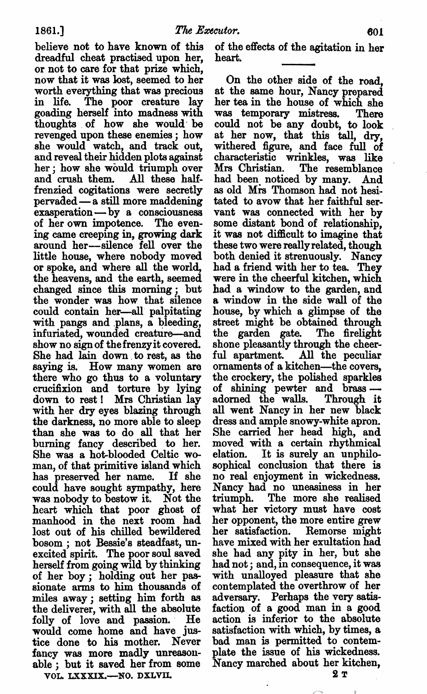believe not to have known of this dreadful cheat practised upon her, or not to care for that prize which, now that it was lost, seemed to her worth everything that was precious in life. The poor creature lay goading herself into madness with thoughts of how she would' be revenged upon these enemies; how she would watch, and track out, and reveal their hidden plots against her; how she would triumph over and crush them. All these half frenzied cogitations were secretly pervaded—a still more maddening exasperation—by a consciousness of her own impotence. The even ing came creeping in, growing dark around her—silence fell over the little house, where nobody moved or spoke, and where all the world, the heavens, and the earth, seemed changed since this morning; but the wonder was how that silence could contain her—all palpitating with pangs and plans, a bleeding, infuriated, wounded creature—and show no sign of the frenzy it covered. She had lain down to rest, as the saying is. How many women are there who go thus to a voluntary crucifixion and torture by lying down to rest! Mrs Christian lay with her dry eyes blazing through the darkness, no more able to sleep than she was to do all that her burning fancy described to her. She was a hot-blooded Celtic woman, of that primitive island which has preserved her name. If she could have sought sympathy, here was nobody to bestow it. Not the heart which that poor ghost of manhood in the next room had lost out of his chilled bewildered bosom ; not Bessie's steadfast, unexcited spirit. The poor soul saved herself from going wild by thinking of her boy; holding out her pas sionate arms to him thousands of miles away; setting him forth as the deliverer, with all the absolute folly of love and passion. He would come home and have jus tice done to his mother. Never fancy was more madly unreason able; but it saved her from some

VOL. LXXXIX.-NO. DXLVII.

of the effects of the agitation in her heart.

On the other side of the road, at the same hour, Nancy prepared her tea in the house of which she was temporary mistress. There could not be any doubt, to look at her now, that this tall, dry, withered figure, and face full of characteristic wrinkles, was like Mrs Christian. The resemblance had been noticed by many. And as old Mrs Thomson had not hesi tated to avow that her faithful ser vant was connected with her by some distant bond of relationship, it was not difficult to imagine that these two were really related, though both denied it strenuously. Nancy had a friend with her to tea. They were in the cheerful kitchen, which had a window to the garden, and a window in the side wall of the house, by which a glimpse of the street might be obtained through the garden gate. The firelight shone pleasantly through the cheer ful apartment. All the peculiar ornaments of a kitchen—the covers, the crockery, the polished sparkles of shining pewter and brass adorned the walls. Through it all went Nancy in her new black dress and ample snowy-white apron. She carried her head high, and moved with a certain rhythmical elation. It is surely an unphilo sophical conclusion that there is no real enjoyment in wickedness. Nancy had no uneasiness in her triumph. The more she realised what her victory must have cost her opponent, the more entire grew her satisfaction. Remorse might have mixed with her exultation had she had any pity in her, but she had not; and, in consequence, it was with unalloyed pleasure that she contemplated the overthrow of her adversary. Perhaps the very satis faction of a good man in a good action is inferior to the absolute satisfaction with which, by times, bad man is permitted to contem plate the issue of his wickedness. Nancy marched about her kitchen,

2т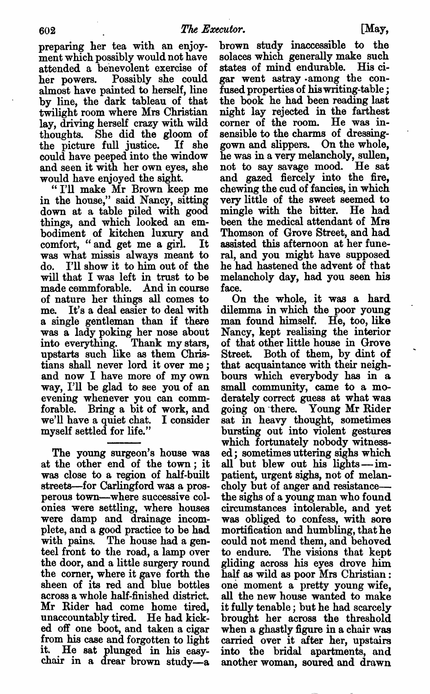preparing her tea with an enjoy ment which possibly would not have attended a benevolent exercise of her powers. Possibly she could almost have painted to herself, line by line, the dark tableau of that twilight room where Mrs Christian lay, driving herself crazy with wild thoughts. She did the gloom of the picture full justice. If she could have peeped into the window and seen it with her own eyes, she would have enjoyed the sight.

"I'll make Mr Brown keep me in the house," said Nancy, sitting down at a table piled with good things, and which looked an em bodiment of kitchen luxury and comfort, "and get me a girl. It was what missis always meant to do. I'll show it to him out of the will that I was left in trust to be made commforable. And in course of nature her things all comes to me. It's a deal easier to deal with single gentleman than if there was lady poking her nose about into everything. Thank my stars, upstarts such like as them Chris tians shall never lord it over me; and now I have more of my own way, I'll be glad to see you of an evening whenever you can comm forable. Bring a bit of work, and we'll have a quiet chat. I consider myself settled for life."

The young surgeon's house was at the other end of the town; it was close to a region of half-built streets—for Carlingford was a prosperous town—where successive col onies were settling, where houses were damp and drainage incom plete, and good practice to be had with pains. The house had a genteel front to the road, a lamp over the door, and a little surgery round the corner, where it gave forth the sheen of its red and blue bottles across whole half-finished district. Mr Rider had come home tired, unaccountably tired. He had kick ed off one boot, and taken a cigar from his case and forgotten to light it. He sat plunged in his easy chair in a drear brown study—a

brown study inaccessible to the solaces which generally make such states of mind endurable. His ci gar went astray among the con fused properties of his writing-table the book he had been reading last night lay rejected in the farthest corner of the room. He was in sensible to the charms of dressing gown and slippers. On the whole, he was in a very melancholy, sullen, not to say savage mood. He sat and gazed fiercely into the fire, chewing the end of fancies, in which very little of the sweet seemed to mingle with the bitter. He had been the medical attendant of Mrs Thomson of Grove Street, and had assisted this afternoon at her fune ral, and you might have supposed he had hastened the advent of that melancholy day, had you seen his face.

On the whole, it was a hard dilemma in which the poor young man found himself. He, too, like Nancy, kept realising the interior of that other little house in Grove Street. Both of them, by dint of that acquaintance with their neigh bours which everybody has in small community, came to a moderately correct guess at what was going on 'there. Young Mr Rider sat in heavy thought, sometimes bursting out into violent gestures which fortunately nobody witnessed; sometimes uttering sighs which all but blew out his lights—im patient, urgent sighs, not of melan choly but of anger and resistance the sighs of a young man who found circumstances intolerable, and yet was obliged to confess, with sore mortification and humbling, that he could not mend them, and behoved to endure. The visions that kept gliding across his eyes drove him half as wild as poor Mrs Christian: one moment a pretty young wife, all the new house wanted to make it fully tenable; but he had scarcely brought her across the threshold when a ghastly figure in a chair was carried over it after her, upstairs into the bridal apartments, and another woman, soured and drawn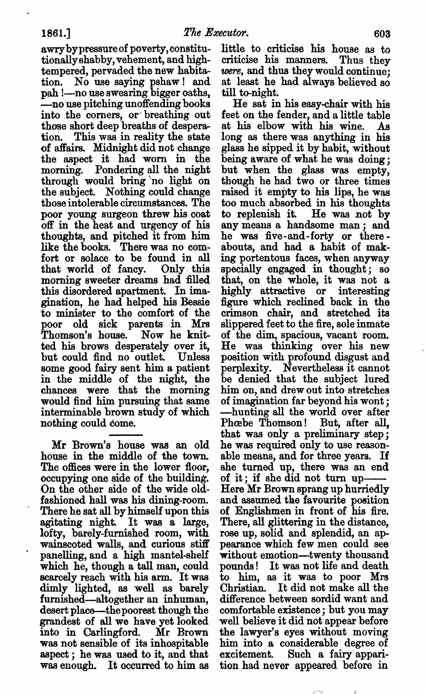awrybypressure of poverty, constitu tionally shabby, vehement, and high tempered, pervaded the new habita tion. No use saying pshaw! and pah l—no use swearing bigger oaths, —no use pitching unoffending books into the corners, or' breathing out those short deep breaths of despera tion. This was in reality the state of affairs. Midnight did not change the aspect it had worn in the morning. Pondering all the night through would bring "no light on the subject. Nothing could change those intolerable circumstances. The poor young surgeon threw his coat off in the heat and urgency of his thoughts, and pitched it from him like the books. There was no com fort or solace to be found in all that world of fancy. Only this morning sweeter dreams had filled this disordered apartment. In ima gination, he had helped his Bessie to minister to the comfort of the poor old sick parents in Mrs Thomson's house. Now he knit ted his brows desperately over it, but could find no outlet. Unless some good fairy sent him a patient in the middle of the night, the chances were that the morning would find him pursuing that same interminable brown study of which nothing could come.

Mr Brown's house was an old house in the middle of the town. The offices were in the lower floor, occupying one side of the building. On the other side of the wide old fashioned hall was his dining-room. There he sat all by himself upon this agitating night. It was a large, lofty, barely-furnished room, with wainscoted walls, and curious stiff panelling, and a high mantel-shelf which he, though a tall man, could scarcely reach with his arm. It was dimly lighted, as well as barely furnished—altogether an inhuman, desert place—thepoorest though the grandest of all we have yet looked into in Carlingford. Mr Brown was not sensible of its inhospitable aspect; he was used to it, and that was enough. It occurred to him as

little to criticise his house as to criticise his manners. Thus they were, and thus they would continue: at least he had always believed so till to-night.

He sat in his easy-chair with his feet on the fender, and a little table at his elbow with his wine. As long as there was anything in his glass he sipped it by habit, without being aware of what he was doing, but when the glass was empty, though he had two or three times raised it empty to his lips, he was too much absorbed in his thoughts to replenish it. He was not by to replenish it. He was not by<br>any means a handsome man; and he was five-and-forty or there abouts, and had a habit of making portentous faces, when anyway specially engaged in thought; so that, on the whole, it was not highly attractive or interesting figure which reclined back in the crimson chair, and stretched its slippered feet to the fire, sole inmate of the dim, spacious, vacant room. He was thinking over his new position with profound disgust and perplexity. Nevertheless it cannot be denied that the subject lured him on, and drew out into stretches of imagination far beyond his wont; hunting all the world over after Phœbe Thomson! But, after all, that was only a preliminary step; he was required only to use reason able means, and for three years. If she turned up, there was an end of it; if she did not turn up Here Mr Brown sprang up hurriedly and assumed the favourite position of Englishmen in front of his fire. There, all glittering in the distance, rose up, solid and splendid, an ap pearance which few men could see without emotion—twenty thousand pounds! It was not life and death to him, as it was to poor Mrs Christian. It did not make all the difference between sordid want and comfortable existence; but you may well believe it did not appear before the lawyer's eyes without moving him into a considerable degree of excitement. Such a fairy apparition had never appeared before in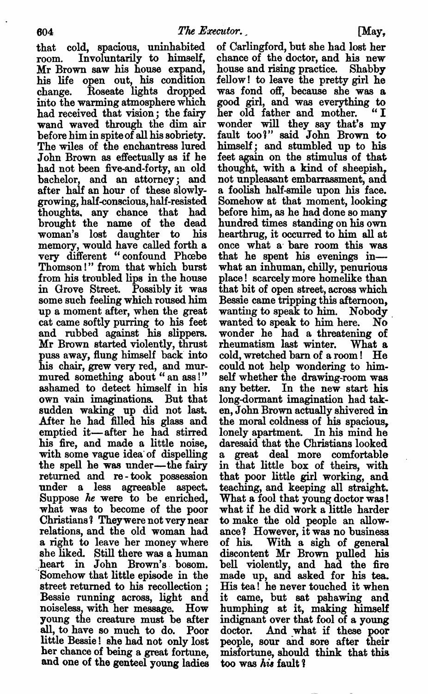that cold, spacious, uninhabited room. Involuntarily to himself, Mr Brown saw his house expand, his life open out, his condition change. Roseate lights dropped into the warming atmosphere which had received that vision; the fairy wand waved through the dim air before him in spite of all his sobriety. The wiles of the enchantress lured John Brown as effectually as if he had not been five-and-forty, an old bachelor, and an attorney; and after half an hour of these slowly growing, half-conscious, half-resisted thoughts. any chance that had brought the name of the dead woman's lost daughter to his memory, would have called forth a very different "confound Phoebe Thomson!" from that which burst from his troubled lips in the house in Grove Street. Possibly it was some such feeling which roused him up a moment after, when the great cat came softly purring to his feet and rubbed against his slippers. Mr Brown started violently, thrust puss away, flung himself back into his chair, grew very red, and mur mured something about "an ass!" ashamed to detect himself in his own vain imaginations. But that sudden waking up did not last. After he had filled his glass and emptied it—after he had stirred his fire, and made a little noise, with some vague idea of dispelling the spell he was under—the fairy returned and re-took possession under a less agreeable aspect. Suppose he were to be enriched, what was to become of the poor Christians? Theywere not very near relations, and the old woman had a right to leave her money where she liked. Still there was a human heart in John Brown's bosom. Somehow that little episode in the street returned to his recollection Bessie running across, light and noiseless, with her message. How young the creature must be after all, to have so much to do. Poor little Bessie! she had not only lost her chance of being a great fortune, and one of the genteel young ladies

of Carlingford, but she had lost her chance of the doctor, and his new house and rising practice. Shabby fellow! to leave the pretty girl he was fond off, because she was a good girl, and was everything to<br>her old father and mother. "I her old father and mother. wonder will they say that's my fault too?" said John Brown to himself; and stumbled up to his feet again on the stimulus of that thought, with a kind of sheepish. not unpleasant embarrassment, and. a foolish half-smile upon his face. Somehow at that moment, looking before him, as he had done so many hundred times standing on his own hearthrug, it occurred to him all at once what a bare room this was that he spent his evenings in what an inhuman, chilly, penurious place! scarcely more homelike than that bit of open street, across which Bessie came tripping this afternoon, wanting to speak to him. Nobody wanted to speak to him here. wanted to speak to him here. No<br>wonder he had a threatening of rheumatism last winter. What cold, wretched barn of a room! He could not help wondering to him self whether the drawing-room was any better. In the new start his long-dormant imagination had taken, John Brown actually shivered in the moral coldness of his spacious, lonely apartment. In his mind he daresaid that the Christians looked great deal more comfortable in that little box of theirs, with that poor little girl working, and teaching, and keeping all straight. What a fool that young doctor was! what if he did work a little harder to make the old people an allow ance? However, it was no business of his. With sigh of general discontent Mr Brown pulled his bell violently, and had the fire made up, and asked for his tea. His tea! he never touched it when it came, but sat pshawing and humphing at it, making himself indignant over that fool of a young doctor. And what if these poor people, sour and sore after their misfortune, should think that this too was his fault?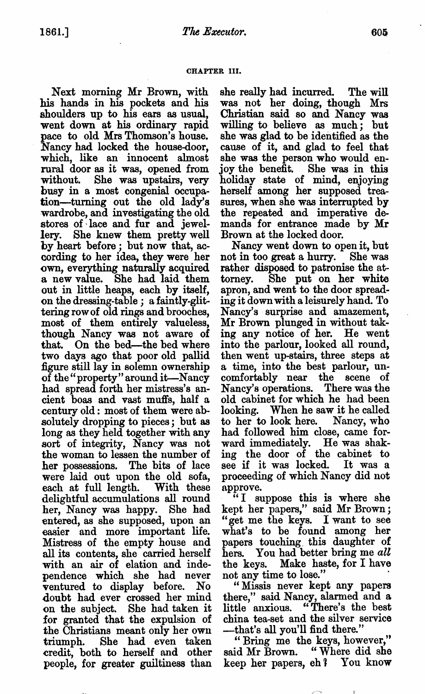### CHAPTER III.

Next morning Mr Brown, with his hands in his pockets and his shoulders up to his ears as usual, went down at his ordinary rapid pace to old Mrs Thomson's house. Nancy had looked the house-door, which, like an innocent almost rural door as it was, opened from without. She was upstairs, very busy in a most congenial occupation—turning out the old lady's wardrobe, and investigating the old stores of lace and fur and jewel lery. She knew them pretty well by heart before; but now that, according to her idea, they were her own, everything naturally acquired new value. She had laid them out in little heaps, each by itself, on the dressing-table; a faintly-glittering row of old rings and brooches, most of them entirely valueless, though Nancy was not aware of that. On the bed—the bed where two days ago that poor old pallid figure still lay in solemn ownership of the "property" around it-Nancy had spread forth her mistress's an cient boas and vast muffs, half a century old: most of them were ab solutely dropping to pieces; but as long as they held together with any sort of integrity, Nancy was not the woman to lessen the number of her possessions. The bits of lace were laid out upon the old sofa, each at full length. With these delightful accumulations all round her, Nancy was happy. She had entered, as she supposed, upon an easier and more important life. Mistress of the empty house and all its contents, she carried herself with an air of elation and inde pendence which she had never ventured to display before. No doubt had ever crossed her mind on the subject. She had taken it for granted that the expulsion of the Christians meant only her own triumph. She had even taken credit, both to herself and other people, for greater guiltiness than

she really had incurred. The will was not her doing, though Mrs Christian said so and Nancy was willing to believe as much; but she was glad to be identified as the cause of it, and glad to feel that she was the person who would en joy the benefit. She was in this holiday state of mind, enjoying herself among her supposed trea sures, when she was interrupted by the repeated and imperative de mands for entrance made by Mr Brown at the locked door.

Nancy went down to open it, but not in too great a hurry. She was rather disposed to patronise the at torney. She put on her white apron, and went to the door spread ing it down with a leisurely hand. To Nancy's surprise and amazement, Mr Brown plunged in without tak ing any notice of her. He went into the parlour, looked all round, then went upstairs, three steps at a time, into the best parlour, uncomfortably near the scene of Nancy's operations. There was the old cabinet for which he had been looking. When he saw it he called to her to look here. Nancy, who had followed him close, came for ward immediately. He was shak ing the door of the cabinet to see if it was locked. It was proceeding of which Nancy did not approve.

"I suppose this is where she kept her papers," said Mr Brown; "get me the keys. I want to see what's to be found among her papers touching this daughter of hers. You had better bring me all the keys. Make haste, for I have not any time to lose."

"Missis never kept any papers there," said Nancy, alarmed and little anxious. "There's the best china tea-set and the silver service that's all you'll find there."

"Bring me the keys, however," Bring me the keys, however,<br>said Mr Brown. "Where did she said Mr Brown. "Where did she<br>keep her papers, eh? You know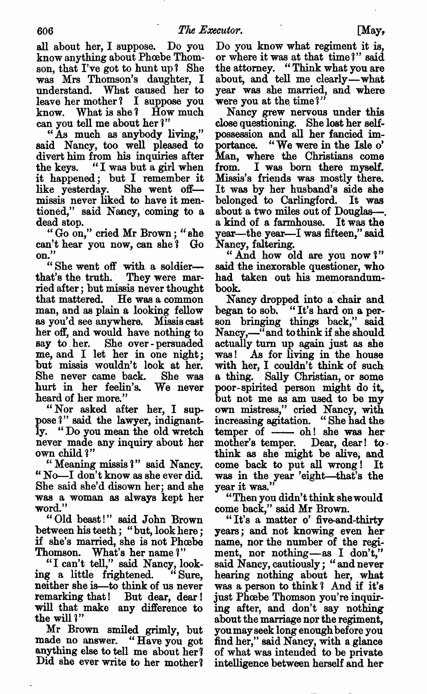all about her, I suppose. Do you know anything about Phoebe Thomson, that I've got to hunt up? She was Mrs Thomson's daughter, understand. What caused her to leave her mother? I suppose you know. What is she? How much can you tell me about her ?"

"As much as anybody living," said Nancy, too well pleased to divert him from his inquiries after the keys. "I was but a girl when it happened; but I remember it like yesterday. She went off missis never liked to have it men tioned," said Nancy, coming to dead stop.

"Go on." cried Mr Brown: "she can't hear you now, can she? Go on.

"She went off with a soldierthat's the truth. They were mar ried after; but missis never thought that mattered. He was a common man, and as plain a looking fellow as you'd see anywhere. Missis cast her off, and would have nothing to say to her. She over-persuaded me, and I let her in one night; but missis wouldn't look at her. She never came back. She was hurt in her feelin's. We never heard of her more."

"Nor asked after her, I suppose ?" said the lawyer, indignant ly. "Do you mean the old wretch never made any inquiry about her own child ?"

Meaning missis ?" said Nancy. "No-I don't know as she ever did. She said she'd disown her; and she was woman as always kept her word."

"Old beast!" said John Brown between his teeth; "but, look here; if she's married, she is not Phoebe Thomson. What's her name?"

"I can't tell," said Nancy, look ing a little frightened. "Sure, neither she is—to think of us never remarking that! But dear, dear! will that make any difference to the will ?"

e will t<br>Mr Brown smiled *g*rimly, but mi Diown sinned grinny, but<br>made no answer. "Have you got made no answer. "Have you got<br>anything else to tell me about her? Did she ever write to her mother? Do you know what regiment it is, or where it was at that time?" said the attorney. "Think what you are about, and tell me clearly—what year was she married, and where were you at the time?"

Nancy grew nervous under this close questioning. She lost her self possession and all her fancied im portance. "We were in the Isle o' Man, where the Christians come from. I was born there myself. Missis's friends was mostly there. It was by her husband's side she belonged to Carlingford. It was about a two miles out of Douglas--a kind of a farmhouse. It was the year—the year—I was fifteen," said Nancy, faltering.

"And how old are you now?" said the inexorable questioner, who had taken out his memorandum book.

Nancy dropped into a chair and began to sob. "It's hard on a person bringing things back," said Nancy,-—" and to think if she should actually turn up again just as she was! As for living in the house with her, I couldn't think of such a thing. Sally Christian, or some poor-spirited person might do it, but not me as am used to be my own mistress," cried Nancy, with increasing agitation. "She had the temper of -- oh! she was her mother's temper. Dear, dear! to think as she might be alive, and come back to put all wrong! It was in the year 'eight—that's the year it was."

Then you didn't think she would come back," said Mr Brown.

"It's a matter o' five-and-thirty years; and not knowing even her name, nor the number of the regi ment, nor nothing—as I don't," said Nancy, cautiously; "and never hearing nothing about her, what was a person to think? And if it's just Phoebe Thomson you're inquir ing after, and don't say nothing about the marriage nor the regiment, you mayseek long enough before you find her." said Nancy, with a glance of what was intended to be private intelligence between herself and her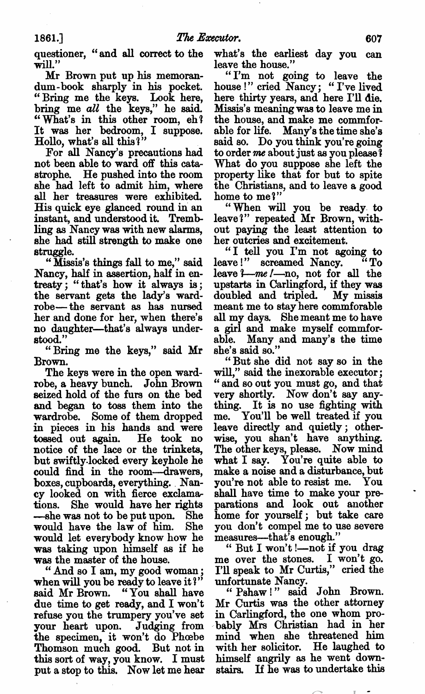questioner, "and all correct to the will."

Mr Brown put up his memoran dum-book sharply in his pocket. "Bring me the keys. Look here, bring me all the keys," he said. "What's in this other room, eh'! It was her bedroom, I suppose. Hollo, what's all this?"

For all Nancy's precautions had not been able to ward off this cata strophe. He pushed into the room she had left to admit him, where all her treasures were exhibited. His quick eye glanced round in an instant, and understood it. Tremb ling as Nancy was with new alarms, she had still strength to make one struggle.

Missis's things fall to me," said Nancy, half in assertion, half in en treaty; "that's how it always is; the servant gets the lady's ward robe— the servant as has nursed her and done for her, when there's no daughter—that's always under stood."

"Bring me the keys," said Mr Brown.

The keys were in the open ward robe, a heavy bunch. John Brown seized hold of the furs on the bed and began to toss them into the wardrobe. Some of them dropped in pieces in his hands and were tossed out again. He took no notice of the lace or the trinkets, but swiftly-locked every keyhole he could find in the room—drawers, boxes, cupboards, everything. Nan cy looked on with fierce exclama tions. She would have her rights -she was not to be put upon. She would have the law of him. She would let everybody know how he was taking upon himself as if he was the master of the house.

"And so I am, my good woman; when will you be ready to leave it?" said Mr Brown. "You shall have due time to get ready, and I won't refuse you the trumpery you've set your heart upon. Judging from the specimen, it won't do Phoebe Thomson much good. But not in this sort of way, you know. I must put a stop to this. Now let me hear

what's the earliest day you can leave the house."

"I'm not going to leave the house!" cried Nancy: "I've lived here thirty years, and here I'll die. Missis's meaning was to leave me in the house, and make me commfor able for life. Many's the time she's said so. Do you think you're going to order me about just as you please? What do you suppose she left the property like that for but to spite the Christians, and to leave a good home to me?"

"When will you be ready to leave?" repeated Mr Brown, with out paying the least attention to her outcries and excitement.

"I tell you I'm not agoing to leave!" screamed Nancy. leave *'I-me l*-no, not for all the upstarts in Carlingford, if they was doubled and tripled. My missis meant me to stay here commforable all my days. She meant me to have a girl and make myself commforable. Many and many's the time she's said so."

"But she did not say so in the will," said the inexorable executor; "and so out you must go, and that very shortly. Now don't say any thing. It is no use fighting with me. You'll be well treated if you leave directly and quietly; other wise, you shan't have anything. The other keys, please. Now mind what I say. You're quite able to make a noise and a disturbance, but you're not able to resist me. You shall have time to make your pre parations and look out another home for yourself; but take care you don't compel me to use severe measures—that's enough."

But won't l—not if you drag me over the stones. I won't go. I'll speak to Mr Curtis," cried the unfortunate Nancy.

" Pshaw!" said John Brown. Mr Curtis was the other attorney in Carlingford, the one whom pro bably Mrs Christian had in her mind when she threatened him with her solicitor. He laughed to himself angrily as he went down stairs. If he was to undertake this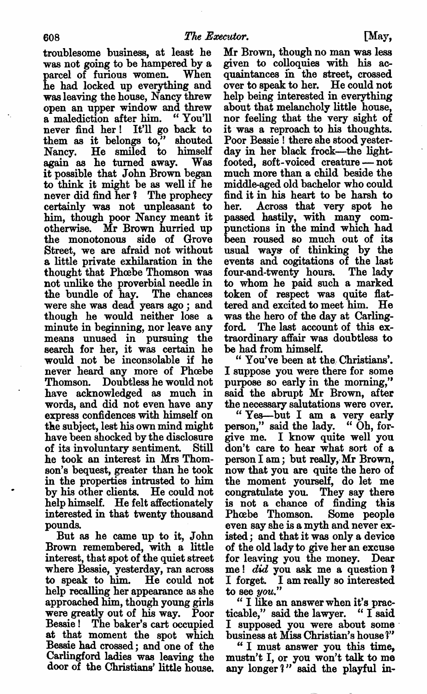troublesome business, at least he was not going to be hampered by a parcel of furious women. When he had loeked up everything and was leaving the house, Nancy threw open an upper window and threw<br>a malediction after him. "You'll a malediction after him. never find her! It'll go back to them as it belongs to," shouted Nancy. He smiled to himself again as he turned away. Was it possible that John Brown began to think it might be as well if he never did find her ? The prophecy certainly was not unpleasant to him, though poor Nancy meant it otherwise. Mr Brown hurried up the monotonous side of Grove Street, we are afraid not without a little private exhilaration in the thought that Phoebe Thomson was not unlike the proverbial needle in the bundle of hay. The chances were she was dead years ago; and though he would neither lose minute in beginning, nor leave any means unused in pursuing the search for her, it was certain he would not be inconsolable if he never heard any more of Phoebe Thomson. Doubtless he would not have acknowledged as much in words, and did not even have any express confidences with himself on the subject, lest his own mind might have been shocked by the disclosure of its involuntary sentiment. Still he took an interest in Mrs Thom son's bequest, greater than he took in the properties intrusted to him by his other clients. He could not help himself. He felt affectionately interested in that twenty thousand pounds.

But as he came up to it, John Brown remembered, with a little interest, that spot of the quiet street where Bessie, yesterday, ran across to speak to him. He could not help recalling her appearance as she approached him, though young girls were greatly out of his way. Poor Bessie! The baker's cart occupied at that moment the spot which Bessie had crossed; and one of the Carlingford ladies was leaving the door of the Christians' little house.

Mr Brown, though no man was less given to colloquies with his ac quaintances in the street, crossed over to speak to her. He could not help being interested in everything about that melancholy little house, nor feeling that the very sight of it was a reproach to his thoughts. Poor Bessie! there she stood yesterday in her black frock—the light footed, soft-voiced creature -- not much more than a child beside the middle-aged old bachelor who could find it in his heart to be harsh to her. Across that very spot he passed hastily, with many com punctions in the mind which had been roused so much out of its usual ways of thinking by the events and cogitations of the last four-and-twenty hours. The lady to whom he paid such a marked token of respect was quite flat tered and excited to meet him. He was the hero of the day at Carling ford. The last account of this ex traordinary affair was doubtless to be had from himself.

You've been at the, Christians'. suppose you were there for some purpose so early in the morning," said the abrupt Mr Brown, after the necessary salutations were over.

"Yes—but I am a very early person," said the lady. "Oh, forgive me. I know quite well you don't care to hear what sort of a person I am; but really, Mr Brown, now that you are quite the hero of the moment yourself, do let me congratulate you. They say there is not chance of finding this Phoebe Thomson. Some people even say she is a myth and never existed; and that it was only a device of the old lady to give her an excuse for leaving you the money. Dear me! did you ask me a question? I forget. I am really so interested to see you."

like an answer when it's prac ticable," said the lawyer. "  $I$  said I supposed you were about some business at Miss Christian's house ?"

"I must answer you this time, mustn't I, or you won't talk to me any longer?" said the playful in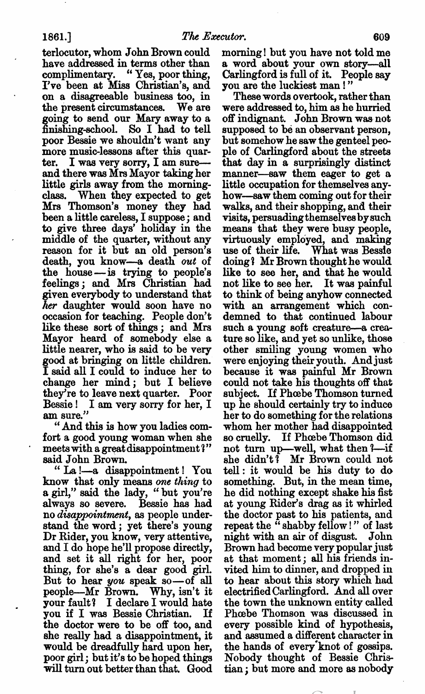terlocutor, whom John Brown could have addressed in terms other than complimentary. "Yes, poor thing, I've been at Miss Christian's, and on a disagreeable business too, in the present circumstances. We are going to send our Mary away to finishing-school. So I had to tell poor Bessie we shouldn't want any more music-lessons after this quarter. I was very sorry, I am sureand there was Mrs Mayor taking her little girls away from the morning class. When they expected to get Mrs Thomson's money they had been a little careless, I suppose; and to give three days' holiday in the middle of the quarter, without any reason for it but an old person's death, you know—a death out of the house—is trying to people's feelings; and Mrs Christian had given everybody to understand that her daughter would soon have no occasion for teaching. People don't like these sort of things; and Mrs Mayor heard of somebody else a. little nearer, who is said to be very good at bringing on little children. I said all I could to induce her to change her mind; but I believe they're to leave next quarter. Poor Bessie! I am very sorry for her, I am sure."

And this is how you ladies com fort a good young woman when she meets with a great disappointment?" said John Brown.

"La !- a disappointment ! You know that only means one thing to a girl," said the lady, "but you're always so severe. Bessie has had no disappointment, as people under stand the word; yet there's young Dr Rider, you know, very attentive, and I do hope he'll propose directly, and set it all right for her, poor thing, for she's a dear good girl. But to hear you speak so—of all people—Mr Brown. Why, isn't it your fault? I declare I would hate you if I was Bessie Christian. If the doctor were to be off too, and she really had a disappointment, it would be dreadfully hard upon her, poor girl; but it's to be hoped things will turn out better than that. Good

morning! but you have not told me word about your own story—all Carlingford is full of it. People say you are the luckiest man!"

These words overtook, rather than were addressed to, him as he hurried off indignant. John Brown was not supposed to be an observant person, but somehow he saw the genteel peo ple of Carlingford about the streets that day in a surprisingly distinct manner—saw them eager to get a little occupation for themselves any how—saw them coming out for their walks, and their shopping, and their visits, persuadingthemselvesbysuch means that they were busy people, virtuously employed, and making use of their life. What was Bessie doing? Mr Brown thought he would like to see her, and that he would not like to see her. It was painful to think of being anyhow connected with an arrangement which condemned to that continued labour such a young soft creature-a creature so like, and yet so unlike, those other smiling young women who were enjoying their youth. Andjust because it was painful Mr Brown could not take his thoughts off that subject. If Phoebe Thomson turned up he should certainly try to induce her to do something for the relations whom her mother had disappointed so cruelly. If Phœbe Thomson did not turn up—well, what then ?—if she didn't? Mr Brown could not tell it would be his duty to do something. But, in the mean time, he did nothing except shake his fist at young Rider's drag as it whirled the doctor past to his patients, and repeat the  $\ddot{\text{ } }$  shabby fellow!" of last night with an air of disgust. John Brown had become very popular just at that moment; all his friends in vited him to dinner, and dropped in to hear about this story which had electrified Carlingford. And all over the town the unknown entity called Phoebe Thomson was discussed in every possible kind of hypothesis, and assumed a different character in the hands of every knot of gossips. Nobody thought of Bessie Chris tian; but more and more as nobody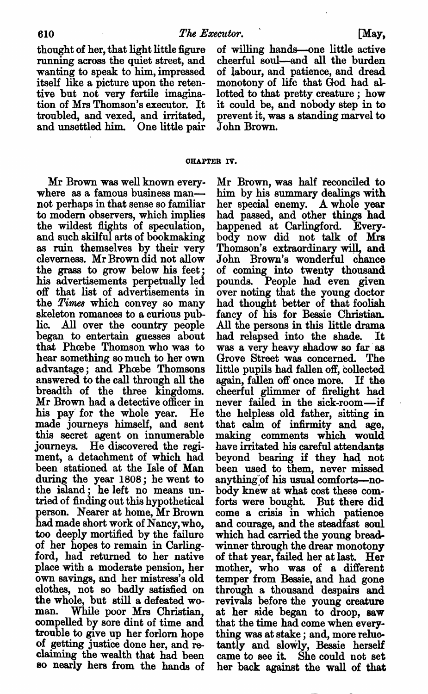thought of her, that light little figure running across the quiet street, and wanting to speak to him, impressed itself like a picture upon the retentive but not very fertile imagina tion of Mrs Thomson's executor. It troubled, and vexed, and irritated, and unsettled him. One little pair

CHAPTER IV.

Mr Brown was well known every where as famous business man not perhaps in that sense so familiar to modern observers, which implies the wildest flights of speculation, and such skilful arts of bookmaking as ruin themselves by their very cleverness. Mr Brown did not allow the grass to grow below his feet his advertisements perpetually led 05 that list of advertisements in the Times which convey so many skeleton romances to a curious public. All over the country people began to entertain guesses about that Phœbe Thomson who was to hear something so much to her own advantage; and Phoebe Thomsons answered to the call through all the breadth of the three kingdoms. Mr Brown had detective officer in his pay for the whole year. He made journeys himself, and sent this secret agent on innumerable journeys. He discovered the regi ment, detachment of which had been stationed at the Isle of Man during the year 1808; he went to the island; he left no means un tried of finding out this hypothetical person. Nearer at home, Mr Brown had made short work of Nancy, who, too deeply mortified by the failure of her hopes to remain in Carling ford, had returned to her native place with a moderate pension, her own savings, and her mistress's old clothes, not so badly satisfied on the whole, but still a defeated woman. While poor Mrs Christian, compelled by sore dint of time and trouble to give up her forlorn hope of getting justice done her, and re claiming the wealth that had been so nearly hers from the hands of

of willing hands—one little active cheerful soul—and all the burden of labour, and patience, and dread monotony of life that God had al lotted to that pretty creature ; how it could be, and nobody step in to prevent it, was a standing marvel to John Brown.

Mr Brown, was half reconciled to him by his summary dealings with her special enemy. A whole year had passed, and other things had happened at Carlingford. Every body now did not talk of Mrs Thomson's extraordinary will, and John Brown's wonderful chance of coming into twenty thousand pounds. People had even given over noting that the young doctor had thought better of that foolish fancy of his for Bessie Christian. All the persons in this little drama had relapsed into the shade. It was a very heavy shadow so far as Grove Street was concerned. The little pupils had fallen off, collected again, fallen off once more. If the cheerful glimmer of firelight had never failed in the sick-room—if the helpless old father, sitting in that calm of infirmity and age, making comments which would have irritated his careful attendants beyond bearing if they had not been used to them, never missed anything'of his usual comforts—no body knew at what cost these com forts were bought. But there did come a crisis in which patience and courage, and the steadfast soul which had carried the young bread winner through the drear monotony of that year, failed her at last. Her mother, who was of a different temper from Bessie, and had gone through a thousand despairs and revivals before the young creature at her side began to droop, saw that the time had come when every thing was at stake; and, more reluctantly and slowly, Bessie herself came to see it. She could not set her back against the wall of that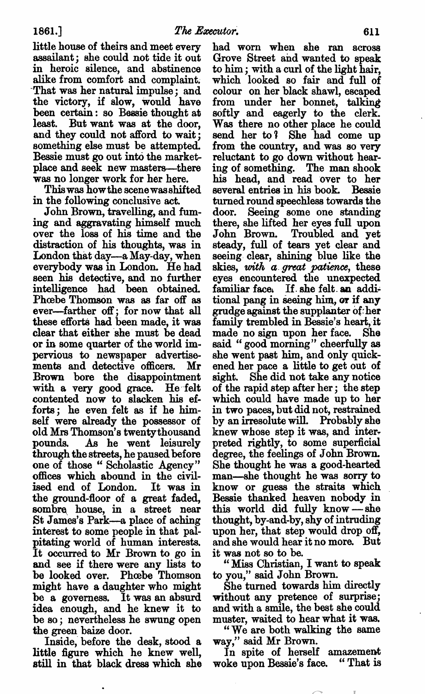little house of theirs and meet every assailant; she could not tide it out in heroic silence, and abstinence alike from comfort and complaint. "That was her natural impulse; and the victory, if slow, would have been certain: so Bessie thought at least. But want was at the door, and they could not afford to wait; something else must be attempted. Bessie must go out into the market place and seek new masters—there was no longer work for her here.

This was howthe scene was shifted in the following conclusive act.

John Brown, travelling, and fum ing and aggravating himself much over the loss of his time and the distraction of his thoughts, was in London that day—a May-day, when everybody was in London. He had seen his detective, and no further intelligence had been obtained. Phoebe Thomson was as far off as ever—farther off; for now that all these efforts had been made, it was clear that either she must be dead or in some quarter of the world im pervious to newspaper advertise ments and detective officers. Mr Brown bore the disappointment with a very good grace. He felt contented now to slacken his ef forts; he even felt as if he him self were already the possessor of old Mrs Thomson's twentythousand pounds. As he went leisurely through the streets, he paused before one of those "Scholastic Agency" offices which abound in the civil ised end of London. It was in the ground-floor of a great faded, sombre house, in a street near St James's Park—a place of aching interest to some people in that pal pitating world of human interests. It occurred to Mr Brown to go in and see if there were any lists to be looked over. Phoebe Thomson might have a daughter who might be a governess. It was an absurd idea enough, and he knew it to be so; nevertheless he swung open the green baize door.

Inside, before the desk, stood little figure which he knew well, still in that black dress which she had worn when she ran across Grove Street and wanted to speak to him; with a curl of the light hair, which looked so fair and full of colour on her black shawl, escaped from under her bonnet, talking softly and eagerly to the clerk. Was there no other place he could send her to'l She had come up from the country, and was so very reluctant to go down without hear ing of something. The man shook his head, and read over to her several entries in his book. Bessie turned round speechless towards the door. Seeing some one standing there, she lifted her eyes full upon John Brown. Troubled and yet steady, full of tears yet clear and seeing clear, shining blue like the skies, with a great patience, these eyes encountered the unexpected familiar face. If. she felt. an addi tional pang in seeing him, or if any grudge against the supplanter of her family trembled in Bessie's heart, it made no sign upon her face. She said "good morning" cheerfully as she went past him, and only quick ened her pace a little to get out of sight. She did not take any notice of the rapid step after her; the step which could have made up to her in two paces, but did not, restrained by an irresolute will. Probably she knew whose step it was, and inter preted rightly, to some superficial degree, the feelings of John Brown. She thought he was good-hearted man—she thought he was sorry to know or guess the straits which Bessie thanked heaven nobody in this world did fully know —she thought, by-and-by, shy of intruding upon her, that step would drop off, and she would hear it no more. But it was not so to be.

"Miss Christian, I want to speak to you," said John Brown.

She turned towards him directly without any pretence of surprise; and with a smile, the best she could muster, waited to hear what it was.

"We are both walking the same way," said Mr Brown.

In spite of herself amazement woke upon Bessie's face. "That is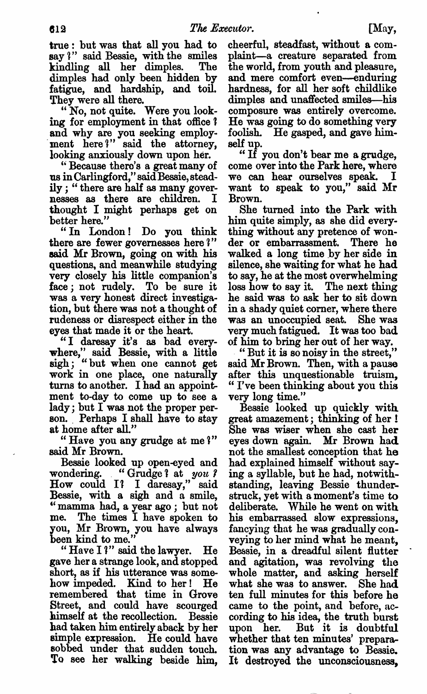true: but was that all you had to say ?" said Bessie, with the smiles kindling all her dimples. The dimples had only been hidden by fatigue, and hardship, and toil. They were all there.

"No, not quite. Were you looking for employment in that office? and why are you seeking employ ment here?" said the attorney, looking anxiously down upon her.

"Because there's a great many of us in Carlingford," said Bessie, stead ily; "there are half as many governesses as there are children. thought might perhaps get on

better here."<br>"In London! Do you think there are fewer governesses here 'l" said Mr Brown, going on with his questions, and meanwhile studying very closely his little companion's face; not rudely. To be sure it was a very honest direct investigation, but there was not a thought of rudeness or disrespect either in the eyes that made it or the heart.

"I daresay it's as had every where," said Bessie, with a little sigh: "but when one cannot get work in one place, one naturally turns to another. I had an appointment to-day to come up to see lady; but I was not the proper person. Perhaps I shall have to stay at home after all."

"Have you any grudge at me?" said Mr Brown.

Bessie looked up open-eyed and wondering. "Grudge? at you?<br>How could I? I daresay," said Bessie, with a sigh and a smile, "mamma had, a year ago; but not me. The times I have spoken to you, Mr Brown, you have always been kind to me.

"Have I'" said the lawyer. He gave her a strange look, and stopped short, as if his utterance was some how impeded. Kind to her! He remembered that time in Grove Street, and could have scourged himself at the recollection. Bessie had taken him entirely aback by her simple expression. He could have sobbed under that sudden touch. To see her walking beside him,

cheerful, steadfast, without a complaint—a creature separated from the world, from youth and pleasure, and mere comfort even—enduring hardness, for all her soft childlike dimples and unaffected smiles—his composure was entirely overcome. He was going to do something very foolish. He gasped, and gave himself up.

"If you don't bear me a grudge, come over into the Park here, where we can hear ourselves speak. want to speak to you," said Mr Brown.

She turned into the Park with him quite simply, as she did every\_ thing without any pretence of won der or embarrassment. There he walked a long time by her side in silence, she waiting for what he had to say, he at the most overwhelming loss how to say it. The next thing he said was to ask her to sit down in a shady quiet corner, where there was an unoccupied seat. She was very much fatigued. It was too bad of him to bring her out of her way.

"But it is so noisy in the street," said Mr Brown. Then, with a pause after this unquestionable truism, I've been thinking about you this very long time."

Bessie looked up quickly with great amazement; thinking of her She was wiser when she cast her eyes down again. Mr Brown had. not the smallest conception that he had explained himself without say ing a syllable, but he had, notwithstanding, leaving Bessie thunder struck, yet with a moment's time to deliberate. While he went on with his embarrassed slow expressions, fancying that he was gradually con veying to her mind what he meant, Bessie, in a dreadful silent flutter and agitation, was revolving the whole matter, and asking herself what she was to answer. She had ten full minutes for this before he came to the point, and before, ac cording to his idea, the truth burst upon her. But it is doubtful whether that ten minutes' prepara tion was any advantage to Bessie. It destroyed the unconsciousness,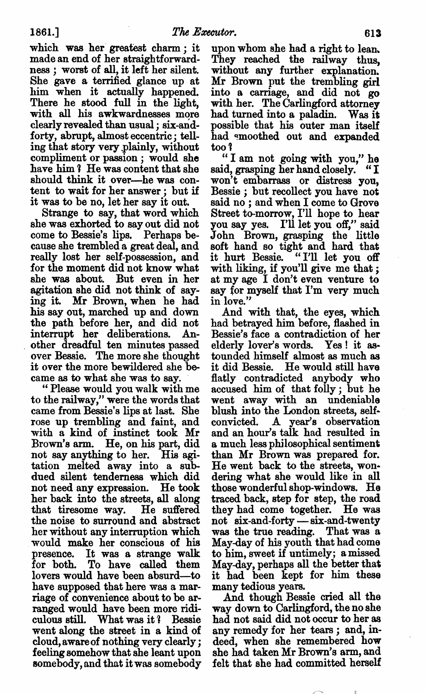which was her greatest charm; it made an end of her straightforward ness; worst of all, it left her silent. She gave a terrified glance up at him when it actually happened. There he stood full in the light, with all his awkwardnesses more clearly revealed than usual ; six-andforty, abrupt, almost eccentric; telling that story very plainly, without compliment or passion; would she have him? He was content that she should think it over—he was con tent to wait for her answer : but if it was to be no, let her say it out.

Strange to say, that word which she was exhorted to say out did not come to Bessie's lips. Perhaps be cause she trembled great deal, and really lost her self-possession, and for the moment did not know what she was about. But even in her agitation she did not think of say ing it. Mr Brown, when he had his say out, marched up and down the path before her, and did not interrupt her deliberations. An other dreadful ten minutes passed over Bessie. The more she thought it over the more bewildered she be came as to what she was to say.

Please would you walk with me to the railway," were the words that came from Bessie's lips at last. She rose up trembling and faint, and with a kind of instinct took Mr Brown's arm. He, on his part, did not say anything to her. His agi tation melted away into a subdued silent tenderness which did not need any expression. He took her back into the streets, all along that tiresome way. He suffered that tiresome way. He suffered<br>the noise to surround and abstract her without any interruption which would make her conscious of his presence. It was a strange walk for both. To have called them lovers would have been absurd—to have supposed that here was a marriage of convenience about to be ar ranged would have been more ridi culous still. What was it? Bessie went along the street in a kind of cloud, aware of nothing very clearly feeling somehow that she leant upon somebody, and that it was somebody

upon whom she had a right to lean. They reached the railway thus, without any further explanation. Mr Brown put the trembling girl into carriage, and did not go with her. The Carlingford attorney had turned into a paladin. Was it possible that his outer man itself had smoothed out and expanded too ?

"I am not going with you," he said, grasping her hand closely. "I won't embarrass or distress you, Bessie; but recollect you have not said no; and when I come to Grove Street to-morrow, I'll hope to hear you say yes. I'll let you off," said John Brown, grasping the little soft hand so tight and hard that it hurt Bessie. "I'll let you off with liking, if you'll give me that; at my age I don't even venture to say for myself that I'm very much in love."

And with that, the eyes, which had betrayed him before, flashed in Bessie's face a contradiction of her elderly lover's words. Yes! it as tounded himself almost as much as it did Bessie. He would still have flatly contradicted anybody who accused him of that folly; but he went away with an undeniable blush into the London streets, self~ convicted. A year's observation and an hour's talk had resulted in much less philosophical sentiment than Mr Brown was prepared for. He went back to the streets, won dering what she would like in all those wonderful shop-windows. He traced back, step for step, the road they had come together. He was not six-and-forty — six-and-twenty was the true reading. That was May-day of his youth that had come to him, sweet if untimely; amissed May-day, perhaps all the better that it had been kept for him these many tedious years.

And though Bessie cried all the way down to Carlingford, the no she had not said did not occur to her as any remedy for her tears; and, indeed, when she remembered how she had taken Mr Brown's arm, and felt that she had committed herself